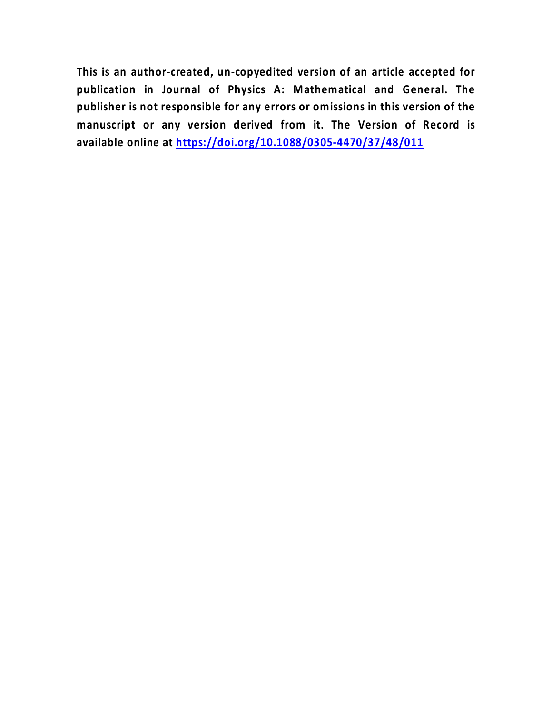**This is an author-created, un-copyedited version of an article accepted for publication in Journal of Physics A: Mathematical and General. The publisher is not responsible for any errors or omissions in this version of the manuscript or any version derived from it. The Version of Record is available online at<https://doi.org/10.1088/0305-4470/37/48/011>**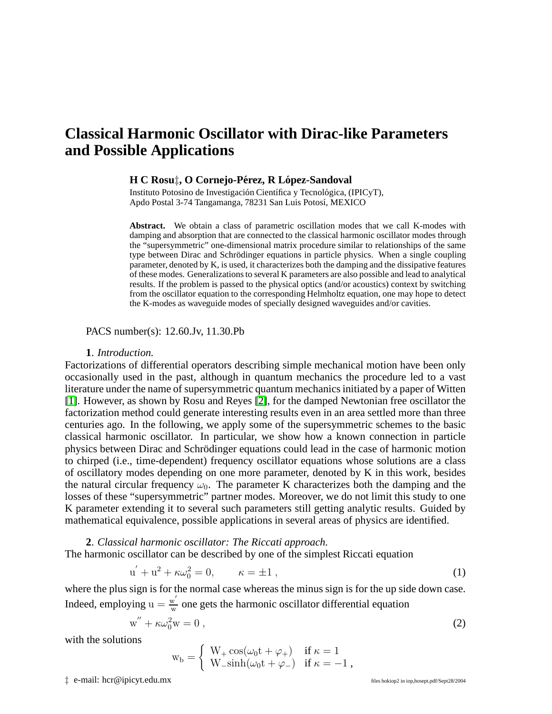# **Classical Harmonic Oscillator with Dirac-like Parameters and Possible Applications**

#### **H C Rosu**‡**, O Cornejo-Perez, R L ´ opez-Sandoval ´**

Instituto Potosino de Investigación Científica y Tecnológica, (IPICyT), Apdo Postal 3-74 Tangamanga, 78231 San Luis Potosí, MEXICO

**Abstract.** We obtain a class of parametric oscillation modes that we call K-modes with damping and absorption that are connected to the classical harmonic oscillator modes through the "supersymmetric" one-dimensional matrix procedure similar to relationships of the same type between Dirac and Schrödinger equations in particle physics. When a single coupling parameter, denoted by K, is used, it characterizes both the damping and the dissipative features of these modes. Generalizations to several K parameters are also possible and lead to analytical results. If the problem is passed to the physical optics (and/or acoustics) context by switching from the oscillator equation to the corresponding Helmholtz equation, one may hope to detect the K-modes as waveguide modes of specially designed waveguides and/or cavities.

PACS number(s): 12.60.Jv, 11.30.Pb

# **1**. *Introduction.*

Factorizations of differential operators describing simple mechanical motion have been only occasionally used in the past, although in quantum mechanics the procedure led to a vast literature under the name of supersymmetric quantum mechanics initiated by a paper of Witten [\[1\]](#page-8-0). However, as shown by Rosu and Reyes [\[2\]](#page-8-1), for the damped Newtonian free oscillator the factorization method could generate interesting results even in an area settled more than three centuries ago. In the following, we apply some of the supersymmetric schemes to the basic classical harmonic oscillator. In particular, we show how a known connection in particle physics between Dirac and Schrödinger equations could lead in the case of harmonic motion to chirped (i.e., time-dependent) frequency oscillator equations whose solutions are a class of oscillatory modes depending on one more parameter, denoted by K in this work, besides the natural circular frequency  $\omega_0$ . The parameter K characterizes both the damping and the losses of these "supersymmetric" partner modes. Moreover, we do not limit this study to one K parameter extending it to several such parameters still getting analytic results. Guided by mathematical equivalence, possible applications in several areas of physics are identified.

<span id="page-1-0"></span>**2**. *Classical harmonic oscillator: The Riccati approach.* The harmonic oscillator can be described by one of the simplest Riccati equation

$$
u' + u2 + \kappa \omega_02 = 0, \qquad \kappa = \pm 1 , \qquad (1)
$$

<span id="page-1-1"></span>where the plus sign is for the normal case whereas the minus sign is for the up side down case. Indeed, employing  $u = \frac{w'}{w}$  $\frac{w}{w}$  one gets the harmonic oscillator differential equation

$$
w'' + \kappa \omega_0^2 w = 0 , \qquad (2)
$$

with the solutions

$$
w_b = \begin{cases} W_+ \cos(\omega_0 t + \varphi_+) & \text{if } \kappa = 1 \\ W_- \sinh(\omega_0 t + \varphi_-) & \text{if } \kappa = -1 \end{cases}
$$

‡ e-mail: hcr@ipicyt.edu.mx files hokiop2 in iop,hosept.pdf/Sept28/2004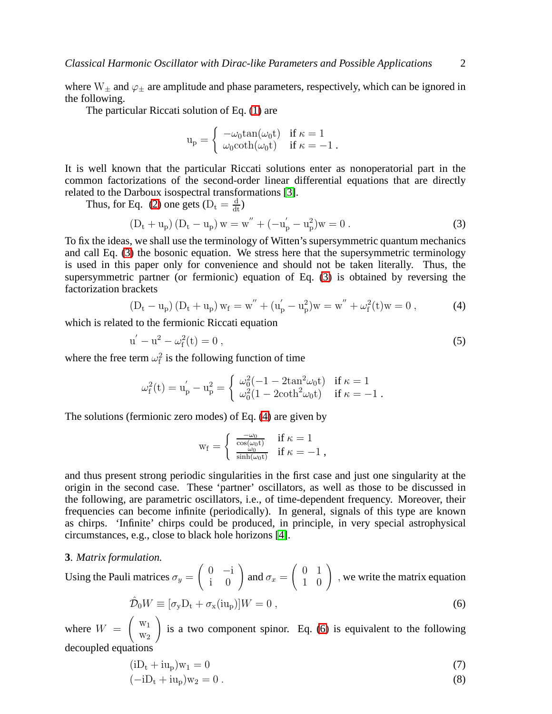where  $W_{\pm}$  and  $\varphi_{\pm}$  are amplitude and phase parameters, respectively, which can be ignored in the following.

The particular Riccati solution of Eq. [\(1\)](#page-1-0) are

$$
\mathrm{u_p} = \left\{ \begin{array}{ll} -\omega_0 \mathrm{tan}(\omega_0 \mathrm{t}) & \text{if } \kappa = 1 \\ \omega_0 \mathrm{coth}(\omega_0 \mathrm{t}) & \text{if } \kappa = -1 \ . \end{array} \right.
$$

It is well known that the particular Riccati solutions enter as nonoperatorial part in the common factorizations of the second-order linear differential equations that are directly related to the Darboux isospectral transformations [\[3\]](#page-8-2).

<span id="page-2-0"></span>Thus, for Eq. [\(2\)](#page-1-1) one gets ( $D_t = \frac{d}{dt}$ )

$$
(D_t + u_p) (D_t - u_p) w = w'' + (-u'_p - u_p^2) w = 0.
$$
 (3)

To fix the ideas, we shall use the terminology of Witten's supersymmetric quantum mechanics and call Eq. [\(3\)](#page-2-0) the bosonic equation. We stress here that the supersymmetric terminology is used in this paper only for convenience and should not be taken literally. Thus, the supersymmetric partner (or fermionic) equation of Eq. [\(3\)](#page-2-0) is obtained by reversing the factorization brackets

$$
\left(D_t - u_p\right)\left(D_t + u_p\right) w_f = w^{''} + (u_p^{'} - u_p^2) w = w^{''} + \omega_f^2(t) w = 0\,,\tag{4}
$$

<span id="page-2-1"></span>which is related to the fermionic Riccati equation

$$
u' - u2 - \omega_f2(t) = 0,
$$
\n(5)

where the free term  $\omega_f^2$  is the following function of time

$$
\omega_{f}^2(t)=u_{p}^{'}-u_{p}^2=\left\{\begin{array}{ll} \omega_0^2(-1-2tan^2\omega_0 t) & \text{if } \kappa=1\\ \omega_0^2(1-2\text{coth}^2\omega_0 t) & \text{if } \kappa=-1\;.\end{array}\right.
$$

The solutions (fermionic zero modes) of Eq. [\(4\)](#page-2-1) are given by

$$
w_f = \begin{cases} \frac{-\omega_0}{\cos(\omega_0 t)} & \text{if } \kappa = 1\\ \frac{\omega_0}{\sinh(\omega_0 t)} & \text{if } \kappa = -1 \end{cases}
$$

and thus present strong periodic singularities in the first case and just one singularity at the origin in the second case. These 'partner' oscillators, as well as those to be discussed in the following, are parametric oscillators, i.e., of time-dependent frequency. Moreover, their frequencies can become infinite (periodically). In general, signals of this type are known as chirps. 'Infinite' chirps could be produced, in principle, in very special astrophysical circumstances, e.g., close to black hole horizons [\[4\]](#page-8-3).

#### **3**. *Matrix formulation.*

<span id="page-2-2"></span>Using the Pauli matrices  $\sigma_y =$  $\begin{pmatrix} 0 & -i \\ i & 0 \end{pmatrix}$  and  $\sigma_x =$  $\left(\begin{array}{cc} 0 & 1 \\ 1 & 0 \end{array}\right)$ , we write the matrix equation

$$
\hat{\mathcal{D}}_0 W \equiv [\sigma_y D_t + \sigma_x(iu_p)]W = 0 , \qquad (6)
$$

where  $W =$  $\left($  w<sub>1</sub>  $W_2$  $\setminus$ is a two component spinor. Eq. [\(6\)](#page-2-2) is equivalent to the following decoupled equations

$$
(iD_t + iu_p)w_1 = 0 \t\t(7)
$$

$$
(-iD_t + iu_p)w_2 = 0.
$$
\n
$$
(8)
$$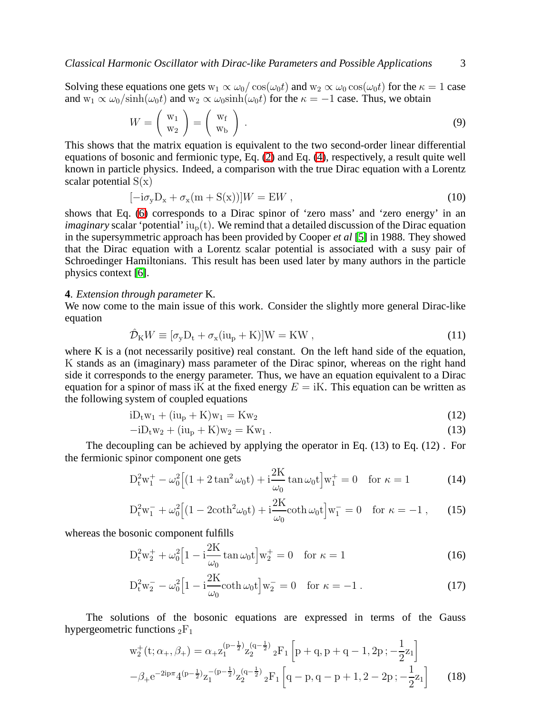Solving these equations one gets  $w_1 \propto \omega_0 / \cos(\omega_0 t)$  and  $w_2 \propto \omega_0 \cos(\omega_0 t)$  for the  $\kappa = 1$  case and  $w_1 \propto \omega_0/\sinh(\omega_0 t)$  and  $w_2 \propto \omega_0 \sinh(\omega_0 t)$  for the  $\kappa = -1$  case. Thus, we obtain

$$
W = \left(\begin{array}{c} \mathbf{w}_1 \\ \mathbf{w}_2 \end{array}\right) = \left(\begin{array}{c} \mathbf{w}_f \\ \mathbf{w}_b \end{array}\right) . \tag{9}
$$

This shows that the matrix equation is equivalent to the two second-order linear differential equations of bosonic and fermionic type, Eq. [\(2\)](#page-1-1) and Eq. [\(4\)](#page-2-1), respectively, a result quite well known in particle physics. Indeed, a comparison with the true Dirac equation with a Lorentz scalar potential  $S(x)$ 

$$
[-i\sigma_y D_x + \sigma_x (m + S(x))]W = EW , \qquad (10)
$$

shows that Eq. [\(6\)](#page-2-2) corresponds to a Dirac spinor of 'zero mass' and 'zero energy' in an *imaginary* scalar 'potential'  $iu_p(t)$ . We remind that a detailed discussion of the Dirac equation in the supersymmetric approach has been provided by Cooper *et al* [\[5\]](#page-8-4) in 1988. They showed that the Dirac equation with a Lorentz scalar potential is associated with a susy pair of Schroedinger Hamiltonians. This result has been used later by many authors in the particle physics context [\[6\]](#page-8-5).

## **4**. *Extension through parameter* K*.*

We now come to the main issue of this work. Consider the slightly more general Dirac-like equation

$$
\hat{\mathcal{D}}_K W \equiv [\sigma_y D_t + \sigma_x (i u_p + K)] W = K W , \qquad (11)
$$

where K is a (not necessarily positive) real constant. On the left hand side of the equation, K stands as an (imaginary) mass parameter of the Dirac spinor, whereas on the right hand side it corresponds to the energy parameter. Thus, we have an equation equivalent to a Dirac equation for a spinor of mass iK at the fixed energy  $E = iK$ . This equation can be written as the following system of coupled equations

$$
iD_t w_1 + (iu_p + K)w_1 = Kw_2 \tag{12}
$$

$$
-iD_{t}w_{2} + (iu_{p} + K)w_{2} = Kw_{1}.
$$
\n(13)

The decoupling can be achieved by applying the operator in Eq. (13) to Eq. (12) . For the fermionic spinor component one gets

$$
D_{t}^{2}w_{1}^{+} - \omega_{0}^{2} \left[ (1 + 2 \tan^{2} \omega_{0} t) + i \frac{2K}{\omega_{0}} \tan \omega_{0} t \right] w_{1}^{+} = 0 \quad \text{for } \kappa = 1 \tag{14}
$$

$$
D_t^2 w_1^- + \omega_0^2 \Big[ (1 - 2 \coth^2 \omega_0 t) + i \frac{2K}{\omega_0} \coth \omega_0 t \Big] w_1^- = 0 \quad \text{for } \kappa = -1 , \qquad (15)
$$

whereas the bosonic component fulfills

$$
D_{t}^{2}w_{2}^{+} + \omega_{0}^{2}\Big[1 - i\frac{2K}{\omega_{0}}\tan\omega_{0}t\Big]w_{2}^{+} = 0 \quad \text{for } \kappa = 1
$$
 (16)

$$
D_t^2 w_2^- - \omega_0^2 \Big[ 1 - i \frac{2K}{\omega_0} \coth \omega_0 t \Big] w_2^- = 0 \quad \text{for } \kappa = -1 . \tag{17}
$$

The solutions of the bosonic equations are expressed in terms of the Gauss hypergeometric functions  ${}_2F_1$ 

$$
w_2^+(t; \alpha_+, \beta_+) = \alpha_+ z_1^{(p-\frac{1}{2})} z_2^{(q-\frac{1}{2})} {}_2F_1 \left[ p+q, p+q-1, 2p; -\frac{1}{2}z_1 \right]
$$

$$
-\beta_+ e^{-2ip\pi} 4^{(p-\frac{1}{2})} z_1^{-(p-\frac{1}{2})} z_2^{(q-\frac{1}{2})} {}_2F_1 \left[ q-p, q-p+1, 2-2p; -\frac{1}{2}z_1 \right] \tag{18}
$$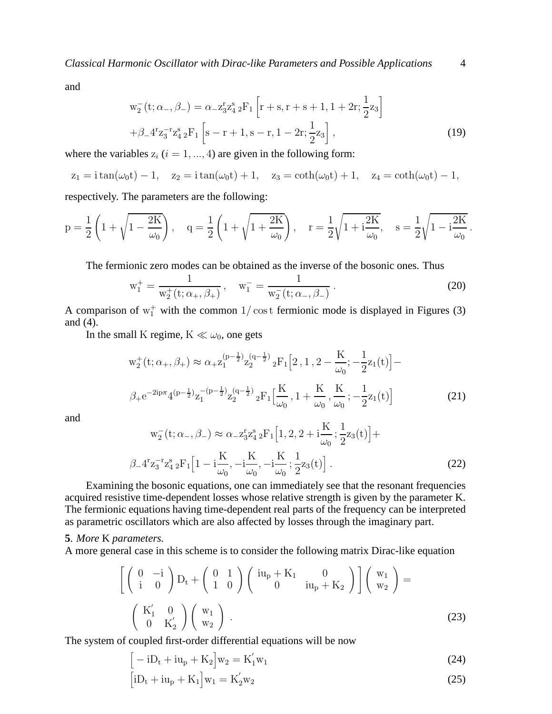and

$$
w_2^-(t; \alpha_-, \beta_-) = \alpha_- z_3^r z_4^s {}_2F_1 \left[ r + s, r + s + 1, 1 + 2r; \frac{1}{2} z_3 \right]
$$
  
+  $\beta_- 4^r z_3^{-r} z_4^s {}_2F_1 \left[ s - r + 1, s - r, 1 - 2r; \frac{1}{2} z_3 \right],$  (19)

where the variables  $z_i$  ( $i = 1, ..., 4$ ) are given in the following form:

$$
z_1 = i \tan(\omega_0 t) - 1
$$
,  $z_2 = i \tan(\omega_0 t) + 1$ ,  $z_3 = \coth(\omega_0 t) + 1$ ,  $z_4 = \coth(\omega_0 t) - 1$ ,

respectively. The parameters are the following:

$$
p = \frac{1}{2} \left( 1 + \sqrt{1 - \frac{2K}{\omega_0}} \right), \quad q = \frac{1}{2} \left( 1 + \sqrt{1 + \frac{2K}{\omega_0}} \right), \quad r = \frac{1}{2} \sqrt{1 + i \frac{2K}{\omega_0}}, \quad s = \frac{1}{2} \sqrt{1 - i \frac{2K}{\omega_0}}.
$$

The fermionic zero modes can be obtained as the inverse of the bosonic ones. Thus

$$
w_1^+ = \frac{1}{w_2^+(t; \alpha_+, \beta_+)}, \quad w_1^- = \frac{1}{w_2^-(t; \alpha_-, \beta_-)}.
$$
 (20)

A comparison of  $w_1^+$  with the common  $1/\cos t$  fermionic mode is displayed in Figures (3) and (4).

In the small K regime,  $K \ll \omega_0$ , one gets

$$
w_2^+(t; \alpha_+, \beta_+) \approx \alpha_+ z_1^{(p-\frac{1}{2})} z_2^{(q-\frac{1}{2})} {}_2F_1[2, 1, 2 - \frac{K}{\omega_0}; -\frac{1}{2}z_1(t)] -
$$
  

$$
\beta_+ e^{-2ip\pi} 4^{(p-\frac{1}{2})} z_1^{-(p-\frac{1}{2})} z_2^{(q-\frac{1}{2})} {}_2F_1\left[\frac{K}{\omega_0}, 1 + \frac{K}{\omega_0}, \frac{K}{\omega_0}; -\frac{1}{2}z_1(t)\right]
$$
(21)

and

$$
w_2^-(t; \alpha_-, \beta_-) \approx \alpha_- z_3^r z_4^s {}_2F_1 \Big[ 1, 2, 2 + i \frac{K}{\omega_0}; \frac{1}{2} z_3(t) \Big] +
$$
  

$$
\beta_- 4^r z_3^{-r} z_4^s {}_2F_1 \Big[ 1 - i \frac{K}{\omega_0}, -i \frac{K}{\omega_0}, -i \frac{K}{\omega_0}; \frac{1}{2} z_3(t) \Big].
$$
 (22)

Examining the bosonic equations, one can immediately see that the resonant frequencies acquired resistive time-dependent losses whose relative strength is given by the parameter K. The fermionic equations having time-dependent real parts of the frequency can be interpreted as parametric oscillators which are also affected by losses through the imaginary part.

# **5**. *More* K *parameters.*

A more general case in this scheme is to consider the following matrix Dirac-like equation

$$
\begin{bmatrix}\n\begin{pmatrix}\n0 & -i \\
i & 0\n\end{pmatrix} D_t +\n\begin{pmatrix}\n0 & 1 \\
1 & 0\n\end{pmatrix}\n\begin{pmatrix}\ni u_p + K_1 & 0 \\
0 & i u_p + K_2\n\end{pmatrix}\n\end{bmatrix}\n\begin{pmatrix}\nw_1 \\
w_2\n\end{pmatrix} =\n\begin{pmatrix}\nK'_1 & 0 \\
0 & K'_2\n\end{pmatrix}\n\begin{pmatrix}\nw_1 \\
w_2\n\end{pmatrix}.
$$
\n(23)

The system of coupled first-order differential equations will be now

$$
[-iD_{t} + iu_{p} + K_{2}]w_{2} = K'_{1}w_{1}
$$
\n(24)

$$
[iD_t + iu_p + K_1]w_1 = K'_2w_2
$$
 (25)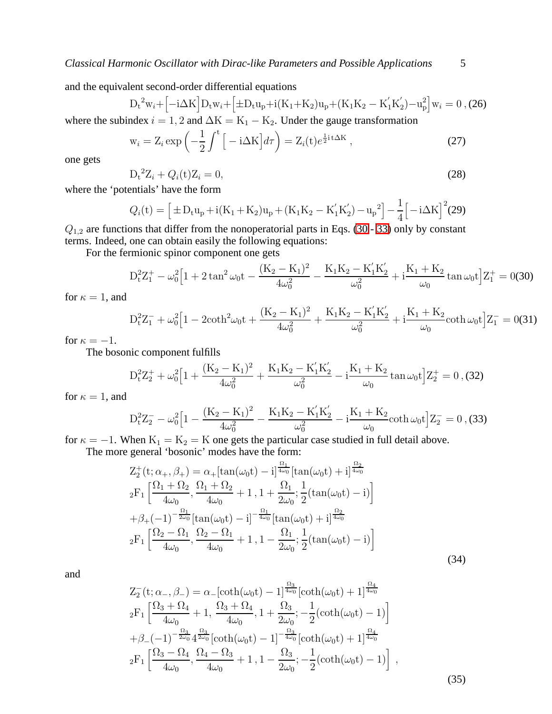and the equivalent second-order differential equations

$$
D_{t}^{2}w_{i} + [-i\Delta K]D_{t}w_{i} + [ \pm D_{t}u_{p} + i(K_{1} + K_{2})u_{p} + (K_{1}K_{2} - K_{1}'K_{2}') - u_{p}^{2}]w_{i} = 0, (26)
$$

<span id="page-5-2"></span>where the subindex  $i = 1, 2$  and  $\Delta K = K_1 - K_2$ . Under the gauge transformation

$$
\mathbf{w}_{i} = \mathbf{Z}_{i} \exp\left(-\frac{1}{2} \int^{t} \left[ -i\Delta \mathbf{K} \right] d\tau \right) = \mathbf{Z}_{i}(\mathbf{t}) e^{\frac{1}{2}i\mathbf{t}\Delta \mathbf{K}},\tag{27}
$$

one gets

$$
D_t^2 Z_i + Q_i(t) Z_i = 0,
$$
\n(28)

where the 'potentials' have the form

$$
Q_i(t) = \left[ \pm D_t u_p + i(K_1 + K_2)u_p + (K_1 K_2 - K_1' K_2') - u_p^2 \right] - \frac{1}{4} \left[ -i\Delta K \right]^2 (29)
$$

 $Q_{1,2}$  are functions that differ from the nonoperatorial parts in Eqs. [\(30](#page-5-0) - [33\)](#page-5-1) only by constant terms. Indeed, one can obtain easily the following equations:

<span id="page-5-0"></span>For the fermionic spinor component one gets

$$
D_t^2 Z_1^+ - \omega_0^2 \Big[1 + 2 \tan^2 \omega_0 t - \frac{(K_2 - K_1)^2}{4 \omega_0^2} - \frac{K_1 K_2 - K_1^{'} K_2^{'}}{\omega_0^2} + i \frac{K_1 + K_2}{\omega_0} \tan \omega_0 t \Big] Z_1^+ = 0.30
$$

for  $\kappa = 1$ , and

$$
D_t^2 Z_1^- + \omega_0^2 \Big[1 - 2 \coth^2 \omega_0 t + \frac{(K_2 - K_1)^2}{4 \omega_0^2} + \frac{K_1 K_2 - K_1^{'} K_2^{'}}{\omega_0^2} + i \frac{K_1 + K_2}{\omega_0} \coth \omega_0 t \Big] Z_1^- = 0.31)
$$

for  $\kappa = -1$ .

The bosonic component fulfills

$$
D_t^2 Z_2^+ + \omega_0^2 \Big[1 + \frac{(K_2 - K_1)^2}{4\omega_0^2} + \frac{K_1 K_2 - K_1^{'} K_2^{'}}{\omega_0^2} - i \frac{K_1 + K_2}{\omega_0} \tan \omega_0 t \Big] Z_2^+ = 0, \text{ (32)}
$$

<span id="page-5-1"></span>for  $\kappa = 1$ , and

$$
D_t^2 Z_2^- - \omega_0^2 \Big[ 1 - \frac{(K_2 - K_1)^2}{4\omega_0^2} - \frac{K_1 K_2 - K_1' K_2'}{\omega_0^2} - i \frac{K_1 + K_2}{\omega_0} \coth \omega_0 t \Big] Z_2^- = 0 , \text{(33)}
$$

for  $\kappa = -1$ . When  $K_1 = K_2 = K$  one gets the particular case studied in full detail above.

The more general 'bosonic' modes have the form:

$$
Z_{2}^{+}(t; \alpha_{+}, \beta_{+}) = \alpha_{+} [\tan(\omega_{0}t) - i]^{\frac{\Omega_{1}}{4\omega_{0}}} [\tan(\omega_{0}t) + i]^{\frac{\Omega_{2}}{4\omega_{0}}}
$$
  
\n
$$
{}_{2}F_{1} \left[ \frac{\Omega_{1} + \Omega_{2}}{4\omega_{0}}, \frac{\Omega_{1} + \Omega_{2}}{4\omega_{0}} + 1, 1 + \frac{\Omega_{1}}{2\omega_{0}}; \frac{1}{2} (\tan(\omega_{0}t) - i) \right]
$$
  
\n
$$
+ \beta_{+} (-1)^{-\frac{\Omega_{1}}{2\omega_{0}}} [\tan(\omega_{0}t) - i]^{-\frac{\Omega_{1}}{4\omega_{0}}} [\tan(\omega_{0}t) + i]^{\frac{\Omega_{2}}{4\omega_{0}}}
$$
  
\n
$$
{}_{2}F_{1} \left[ \frac{\Omega_{2} - \Omega_{1}}{4\omega_{0}}, \frac{\Omega_{2} - \Omega_{1}}{4\omega_{0}} + 1, 1 - \frac{\Omega_{1}}{2\omega_{0}}; \frac{1}{2} (\tan(\omega_{0}t) - i) \right]
$$
  
\n(34)

and

$$
Z_2^-(t; \alpha_-, \beta_-) = \alpha_-[\coth(\omega_0 t) - 1]^{\frac{\Omega_3}{4\omega_0}}[\coth(\omega_0 t) + 1]^{\frac{\Omega_4}{4\omega_0}}{}_2F_1\left[\frac{\Omega_3 + \Omega_4}{4\omega_0} + 1, \frac{\Omega_3 + \Omega_4}{4\omega_0}, 1 + \frac{\Omega_3}{2\omega_0}; -\frac{1}{2}(\coth(\omega_0 t) - 1)\right]{}+\beta_-(-1)^{-\frac{\Omega_3}{2\omega_0}}4^{\frac{\Omega_3}{2\omega_0}}[\coth(\omega_0 t) - 1]^{-\frac{\Omega_3}{4\omega_0}}[\coth(\omega_0 t) + 1]^{\frac{\Omega_4}{4\omega_0}}{}_2F_1\left[\frac{\Omega_3 - \Omega_4}{4\omega_0}, \frac{\Omega_4 - \Omega_3}{4\omega_0} + 1, 1 - \frac{\Omega_3}{2\omega_0}; -\frac{1}{2}(\coth(\omega_0 t) - 1)\right],
$$
\n(35)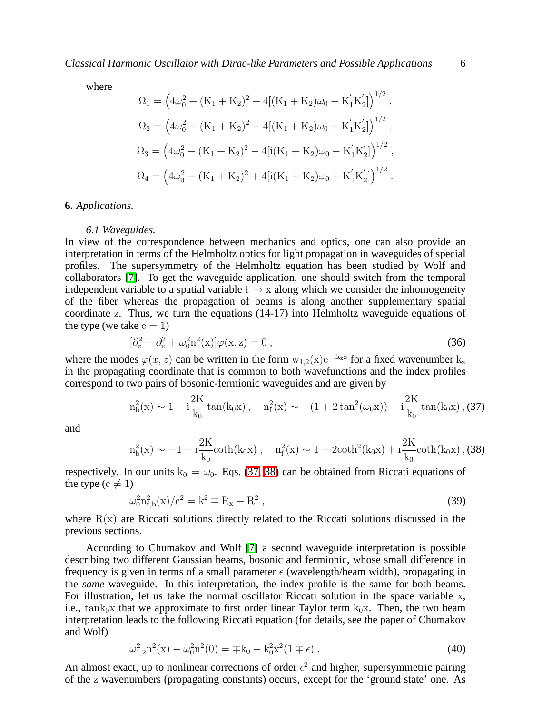where

$$
\Omega_1 = \left(4\omega_0^2 + (K_1 + K_2)^2 + 4[(K_1 + K_2)\omega_0 - K_1'K_2']\right)^{1/2},
$$
  
\n
$$
\Omega_2 = \left(4\omega_0^2 + (K_1 + K_2)^2 - 4[(K_1 + K_2)\omega_0 + K_1'K_2']\right)^{1/2},
$$
  
\n
$$
\Omega_3 = \left(4\omega_0^2 - (K_1 + K_2)^2 - 4[i(K_1 + K_2)\omega_0 - K_1'K_2']\right)^{1/2},
$$
  
\n
$$
\Omega_4 = \left(4\omega_0^2 - (K_1 + K_2)^2 + 4[i(K_1 + K_2)\omega_0 + K_1'K_2']\right)^{1/2}.
$$

# **6.** *Applications.*

#### *6.1 Waveguides.*

In view of the correspondence between mechanics and optics, one can also provide an interpretation in terms of the Helmholtz optics for light propagation in waveguides of special profiles. The supersymmetry of the Helmholtz equation has been studied by Wolf and collaborators [\[7\]](#page-9-0). To get the waveguide application, one should switch from the temporal independent variable to a spatial variable  $t \rightarrow x$  along which we consider the inhomogeneity of the fiber whereas the propagation of beams is along another supplementary spatial coordinate z. Thus, we turn the equations (14-17) into Helmholtz waveguide equations of the type (we take  $c = 1$ )

$$
[\partial_z^2 + \partial_x^2 + \omega_0^2 n^2(x)]\varphi(x, z) = 0 , \qquad (36)
$$

<span id="page-6-0"></span>where the modes  $\varphi(x, z)$  can be written in the form  $w_{1,2}(x)e^{-ik_z z}$  for a fixed wavenumber  $k_z$ in the propagating coordinate that is common to both wavefunctions and the index profiles correspond to two pairs of bosonic-fermionic waveguides and are given by

$$
n_b^2(x) \sim 1 - i \frac{2K}{k_0} \tan(k_0 x) \,, \quad n_f^2(x) \sim -(1 + 2 \tan^2(\omega_0 x)) - i \frac{2K}{k_0} \tan(k_0 x) \,, \text{(37)}
$$

<span id="page-6-1"></span>and

$$
n_b^2(x) \sim -1 - i \frac{2K}{k_0} \coth(k_0 x) , \quad n_f^2(x) \sim 1 - 2 \coth^2(k_0 x) + i \frac{2K}{k_0} \coth(k_0 x) ,
$$
 (38)

respectively. In our units  $k_0 = \omega_0$ . Eqs. [\(37,](#page-6-0) [38\)](#page-6-1) can be obtained from Riccati equations of the type ( $c \neq 1$ )

$$
\omega_0^2 n_{f,b}^2(x) / c^2 = k^2 \mp R_x - R^2 , \qquad (39)
$$

where  $R(x)$  are Riccati solutions directly related to the Riccati solutions discussed in the previous sections.

According to Chumakov and Wolf [\[7\]](#page-9-0) a second waveguide interpretation is possible describing two different Gaussian beams, bosonic and fermionic, whose small difference in frequency is given in terms of a small parameter  $\epsilon$  (wavelength/beam width), propagating in the *same* waveguide. In this interpretation, the index profile is the same for both beams. For illustration, let us take the normal oscillator Riccati solution in the space variable x, i.e., tank<sub>0</sub>x that we approximate to first order linear Taylor term  $k_0x$ . Then, the two beam interpretation leads to the following Riccati equation (for details, see the paper of Chumakov and Wolf)

$$
\omega_{1,2}^2 n^2(x) - \omega_0^2 n^2(0) = \mp k_0 - k_0^2 x^2 (1 \mp \epsilon).
$$
 (40)

An almost exact, up to nonlinear corrections of order  $\epsilon^2$  and higher, supersymmetric pairing of the z wavenumbers (propagating constants) occurs, except for the 'ground state' one. As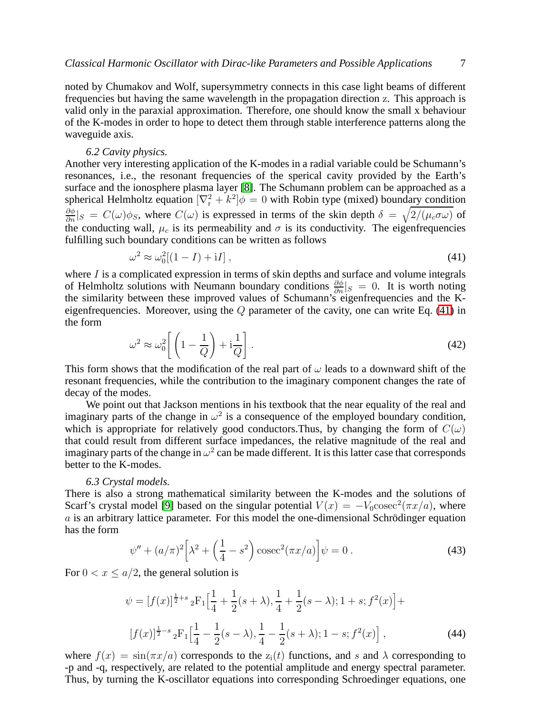noted by Chumakov and Wolf, supersymmetry connects in this case light beams of different frequencies but having the same wavelength in the propagation direction z. This approach is valid only in the paraxial approximation. Therefore, one should know the small x behaviour of the K-modes in order to hope to detect them through stable interference patterns along the waveguide axis.

#### *6.2 Cavity physics.*

Another very interesting application of the K-modes in a radial variable could be Schumann's resonances, i.e., the resonant frequencies of the sperical cavity provided by the Earth's surface and the ionosphere plasma layer [\[8\]](#page-9-1). The Schumann problem can be approached as a spherical Helmholtz equation  $[\nabla_{\rm r}^2 + k^2] \phi = 0$  with Robin type (mixed) boundary condition  $\frac{\partial \phi}{\partial n}|_S = C(\omega)\phi_S$ , where  $C(\omega)$  is expressed in terms of the skin depth  $\delta = \sqrt{2/(\mu_c \sigma \omega)}$  of the conducting wall,  $\mu_c$  is its permeability and  $\sigma$  is its conductivity. The eigenfrequencies fulfilling such boundary conditions can be written as follows

$$
\omega^2 \approx \omega_0^2 [(1 - I) + \mathrm{i} I], \qquad (41)
$$

<span id="page-7-0"></span>where  $I$  is a complicated expression in terms of skin depths and surface and volume integrals of Helmholtz solutions with Neumann boundary conditions  $\frac{\partial \phi}{\partial n}|_S = 0$ . It is worth noting the similarity between these improved values of Schumann's eigenfrequencies and the Keigenfrequencies. Moreover, using the  $Q$  parameter of the cavity, one can write Eq. [\(41\)](#page-7-0) in the form

$$
\omega^2 \approx \omega_0^2 \left[ \left( 1 - \frac{1}{Q} \right) + \mathrm{i} \frac{1}{Q} \right]. \tag{42}
$$

This form shows that the modification of the real part of  $\omega$  leads to a downward shift of the resonant frequencies, while the contribution to the imaginary component changes the rate of decay of the modes.

We point out that Jackson mentions in his textbook that the near equality of the real and imaginary parts of the change in  $\omega^2$  is a consequence of the employed boundary condition, which is appropriate for relatively good conductors. Thus, by changing the form of  $C(\omega)$ that could result from different surface impedances, the relative magnitude of the real and imaginary parts of the change in  $\omega^2$  can be made different. It is this latter case that corresponds better to the K-modes.

### *6.3 Crystal models.*

There is also a strong mathematical similarity between the K-modes and the solutions of Scarf's crystal model [\[9\]](#page-9-2) based on the singular potential  $V(x) = -V_0 \csc^2(\pi x/a)$ , where  $\alpha$  is an arbitrary lattice parameter. For this model the one-dimensional Schrödinger equation has the form

$$
\psi'' + (a/\pi)^2 \left[ \lambda^2 + \left( \frac{1}{4} - s^2 \right) \csc^2(\pi x/a) \right] \psi = 0 \,. \tag{43}
$$

For  $0 < x \le a/2$ , the general solution is

$$
\psi = [f(x)]^{\frac{1}{2}+s} {}_{2}F_{1}\Big[\frac{1}{4} + \frac{1}{2}(s+\lambda), \frac{1}{4} + \frac{1}{2}(s-\lambda); 1+s; f^{2}(x)\Big] +
$$
  

$$
[f(x)]^{\frac{1}{2}-s} {}_{2}F_{1}\Big[\frac{1}{4} - \frac{1}{2}(s-\lambda), \frac{1}{4} - \frac{1}{2}(s+\lambda); 1-s; f^{2}(x)\Big],
$$
 (44)

where  $f(x) = \sin(\pi x/a)$  corresponds to the  $z_i(t)$  functions, and s and  $\lambda$  corresponding to -p and -q, respectively, are related to the potential amplitude and energy spectral parameter. Thus, by turning the K-oscillator equations into corresponding Schroedinger equations, one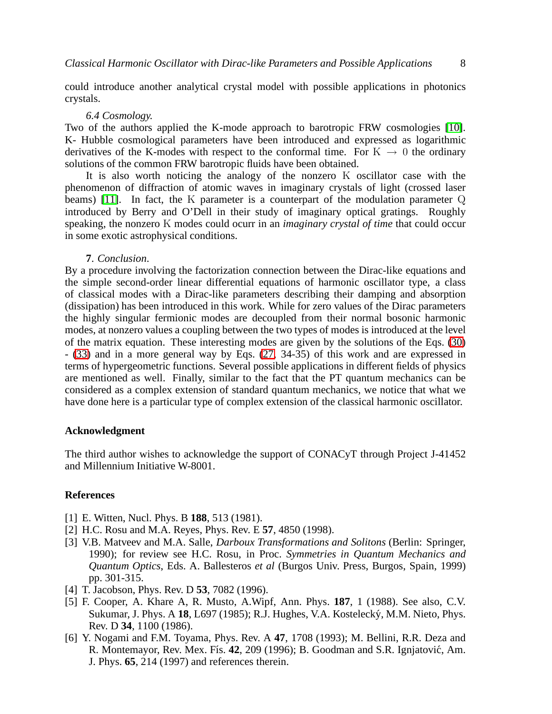could introduce another analytical crystal model with possible applications in photonics crystals.

#### *6.4 Cosmology.*

Two of the authors applied the K-mode approach to barotropic FRW cosmologies [\[10\]](#page-9-3). K- Hubble cosmological parameters have been introduced and expressed as logarithmic derivatives of the K-modes with respect to the conformal time. For  $K \to 0$  the ordinary solutions of the common FRW barotropic fluids have been obtained.

It is also worth noticing the analogy of the nonzero K oscillator case with the phenomenon of diffraction of atomic waves in imaginary crystals of light (crossed laser beams) [\[11\]](#page-9-4). In fact, the K parameter is a counterpart of the modulation parameter Q introduced by Berry and O'Dell in their study of imaginary optical gratings. Roughly speaking, the nonzero K modes could ocurr in an *imaginary crystal of time* that could occur in some exotic astrophysical conditions.

# **7**. *Conclusion*.

By a procedure involving the factorization connection between the Dirac-like equations and the simple second-order linear differential equations of harmonic oscillator type, a class of classical modes with a Dirac-like parameters describing their damping and absorption (dissipation) has been introduced in this work. While for zero values of the Dirac parameters the highly singular fermionic modes are decoupled from their normal bosonic harmonic modes, at nonzero values a coupling between the two types of modes is introduced at the level of the matrix equation. These interesting modes are given by the solutions of the Eqs. [\(30\)](#page-5-0) - [\(33\)](#page-5-1) and in a more general way by Eqs. [\(27,](#page-5-2) 34-35) of this work and are expressed in terms of hypergeometric functions. Several possible applications in different fields of physics are mentioned as well. Finally, similar to the fact that the PT quantum mechanics can be considered as a complex extension of standard quantum mechanics, we notice that what we have done here is a particular type of complex extension of the classical harmonic oscillator.

# **Acknowledgment**

The third author wishes to acknowledge the support of CONACyT through Project J-41452 and Millennium Initiative W-8001.

## <span id="page-8-0"></span>**References**

- <span id="page-8-1"></span>[1] E. Witten, Nucl. Phys. B **188**, 513 (1981).
- <span id="page-8-2"></span>[2] H.C. Rosu and M.A. Reyes, Phys. Rev. E **57**, 4850 (1998).
- [3] V.B. Matveev and M.A. Salle, *Darboux Transformations and Solitons* (Berlin: Springer, 1990); for review see H.C. Rosu, in Proc. *Symmetries in Quantum Mechanics and Quantum Optics*, Eds. A. Ballesteros *et al* (Burgos Univ. Press, Burgos, Spain, 1999) pp. 301-315.
- <span id="page-8-4"></span><span id="page-8-3"></span>[4] T. Jacobson, Phys. Rev. D **53**, 7082 (1996).
- [5] F. Cooper, A. Khare A, R. Musto, A.Wipf, Ann. Phys. **187**, 1 (1988). See also, C.V. Sukumar, J. Phys. A **18**, L697 (1985); R.J. Hughes, V.A. Kosteleck´y, M.M. Nieto, Phys. Rev. D **34**, 1100 (1986).
- <span id="page-8-5"></span>[6] Y. Nogami and F.M. Toyama, Phys. Rev. A **47**, 1708 (1993); M. Bellini, R.R. Deza and R. Montemayor, Rev. Mex. Fís. 42, 209 (1996); B. Goodman and S.R. Ignjatović, Am. J. Phys. **65**, 214 (1997) and references therein.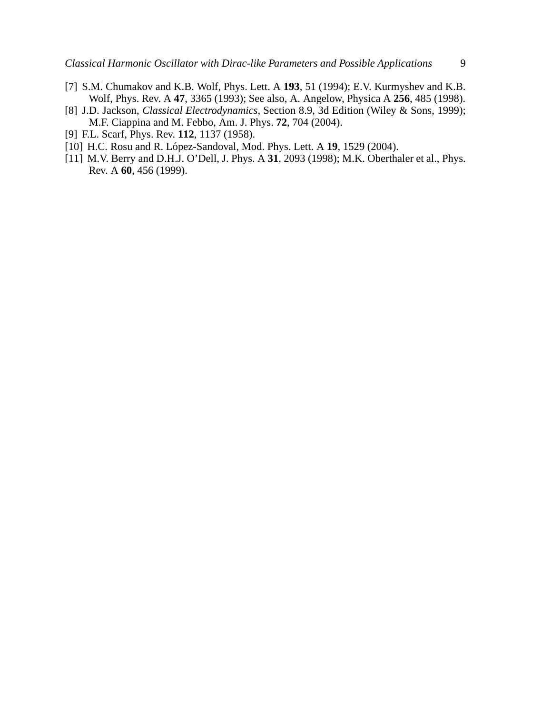- <span id="page-9-0"></span>[7] S.M. Chumakov and K.B. Wolf, Phys. Lett. A **193**, 51 (1994); E.V. Kurmyshev and K.B. Wolf, Phys. Rev. A **47**, 3365 (1993); See also, A. Angelow, Physica A **256**, 485 (1998).
- <span id="page-9-1"></span>[8] J.D. Jackson, *Classical Electrodynamics*, Section 8.9, 3d Edition (Wiley & Sons, 1999); M.F. Ciappina and M. Febbo, Am. J. Phys. **72**, 704 (2004).
- <span id="page-9-3"></span><span id="page-9-2"></span>[9] F.L. Scarf, Phys. Rev. **112**, 1137 (1958).
- <span id="page-9-4"></span>[10] H.C. Rosu and R. López-Sandoval, Mod. Phys. Lett. A **19**, 1529 (2004).
- [11] M.V. Berry and D.H.J. O'Dell, J. Phys. A **31**, 2093 (1998); M.K. Oberthaler et al., Phys. Rev. A **60**, 456 (1999).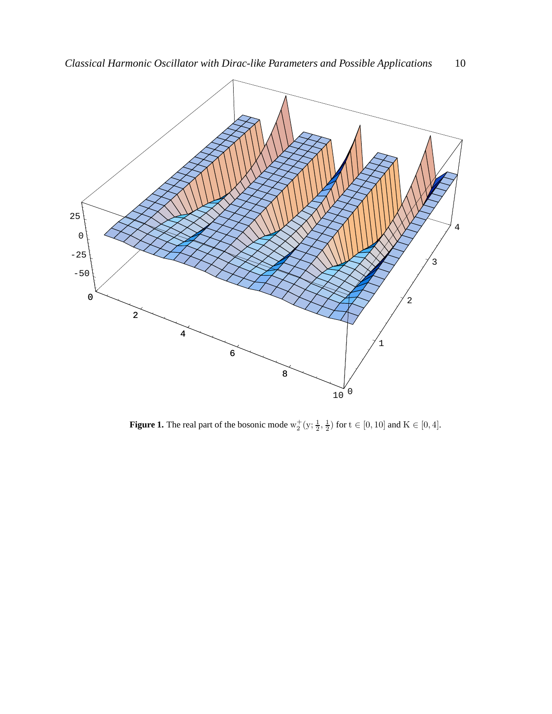

**Figure 1.** The real part of the bosonic mode  $w_2^+(y; \frac{1}{2}, \frac{1}{2})$  for  $t \in [0, 10]$  and  $K \in [0, 4]$ .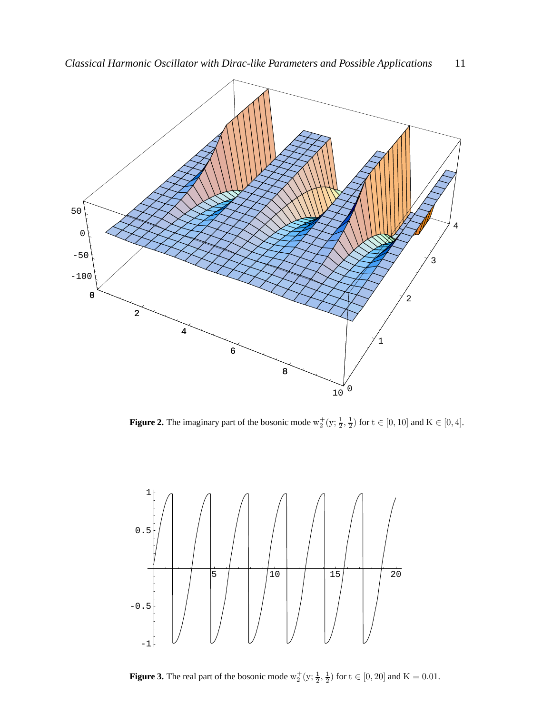

**Figure 2.** The imaginary part of the bosonic mode  $w_2^+(y; \frac{1}{2}, \frac{1}{2})$  for  $t \in [0, 10]$  and  $K \in [0, 4]$ .



**Figure 3.** The real part of the bosonic mode  $w_2^+(y; \frac{1}{2}, \frac{1}{2})$  for  $t \in [0, 20]$  and  $K = 0.01$ .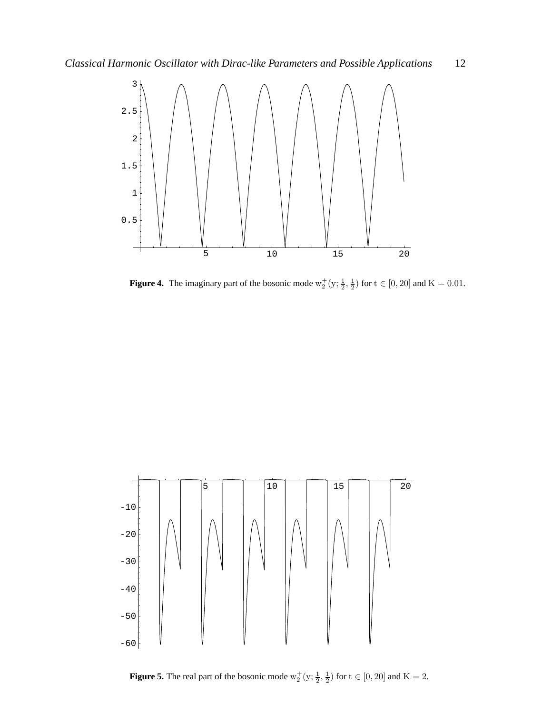

**Figure 4.** The imaginary part of the bosonic mode  $w_2^+(y; \frac{1}{2}, \frac{1}{2})$  for  $t \in [0, 20]$  and  $K = 0.01$ .



**Figure 5.** The real part of the bosonic mode  $w_2^+(y; \frac{1}{2}, \frac{1}{2})$  for  $t \in [0, 20]$  and  $K = 2$ .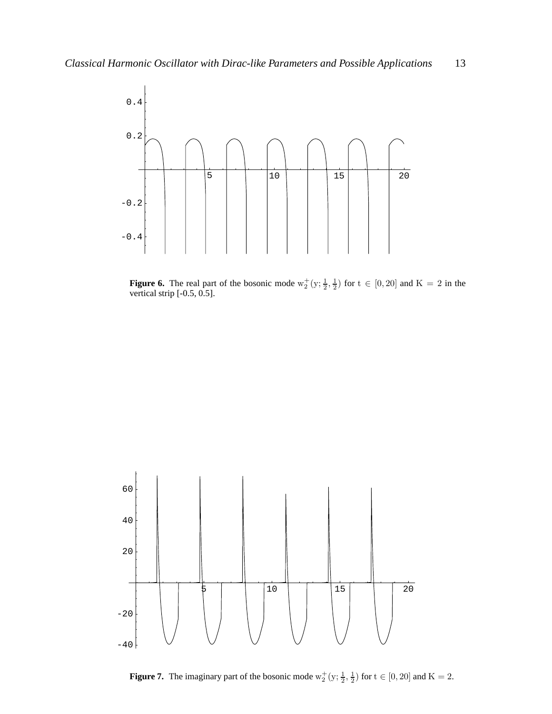

**Figure 6.** The real part of the bosonic mode  $w_2^+(y; \frac{1}{2}, \frac{1}{2})$  for  $t \in [0, 20]$  and  $K = 2$  in the vertical strip [-0.5, 0.5].



**Figure 7.** The imaginary part of the bosonic mode  $w_2^+(y; \frac{1}{2}, \frac{1}{2})$  for  $t \in [0, 20]$  and  $K = 2$ .